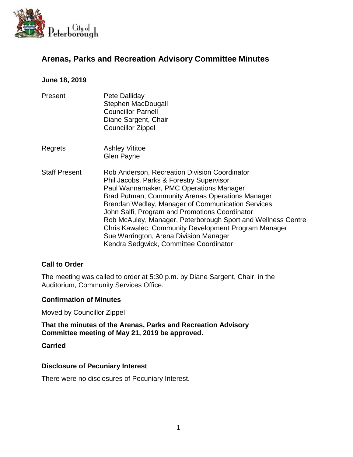

# **Arenas, Parks and Recreation Advisory Committee Minutes**

### **June 18, 2019**

- Present Pete Dalliday Stephen MacDougall Councillor Parnell Diane Sargent, Chair Councillor Zippel
- Regrets Ashley Vititoe Glen Payne
- Staff Present Rob Anderson, Recreation Division Coordinator Phil Jacobs, Parks & Forestry Supervisor Paul Wannamaker, PMC Operations Manager Brad Putman, Community Arenas Operations Manager Brendan Wedley, Manager of Communication Services John Salfi, Program and Promotions Coordinator Rob McAuley, Manager, Peterborough Sport and Wellness Centre Chris Kawalec, Community Development Program Manager Sue Warrington, Arena Division Manager Kendra Sedgwick, Committee Coordinator

### **Call to Order**

The meeting was called to order at 5:30 p.m. by Diane Sargent, Chair, in the Auditorium, Community Services Office.

### **Confirmation of Minutes**

Moved by Councillor Zippel

**That the minutes of the Arenas, Parks and Recreation Advisory Committee meeting of May 21, 2019 be approved.**

#### **Carried**

### **Disclosure of Pecuniary Interest**

There were no disclosures of Pecuniary Interest.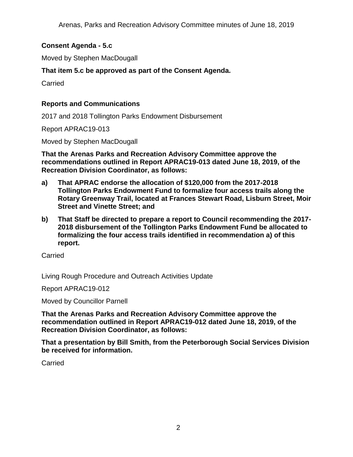## **Consent Agenda - 5.c**

Moved by Stephen MacDougall

## **That item 5.c be approved as part of the Consent Agenda.**

Carried

## **Reports and Communications**

2017 and 2018 Tollington Parks Endowment Disbursement

Report APRAC19-013

Moved by Stephen MacDougall

**That the Arenas Parks and Recreation Advisory Committee approve the recommendations outlined in Report APRAC19-013 dated June 18, 2019, of the Recreation Division Coordinator, as follows:**

- **a) That APRAC endorse the allocation of \$120,000 from the 2017-2018 Tollington Parks Endowment Fund to formalize four access trails along the Rotary Greenway Trail, located at Frances Stewart Road, Lisburn Street, Moir Street and Vinette Street; and**
- **b) That Staff be directed to prepare a report to Council recommending the 2017- 2018 disbursement of the Tollington Parks Endowment Fund be allocated to formalizing the four access trails identified in recommendation a) of this report.**

**Carried** 

Living Rough Procedure and Outreach Activities Update

Report APRAC19-012

Moved by Councillor Parnell

**That the Arenas Parks and Recreation Advisory Committee approve the recommendation outlined in Report APRAC19-012 dated June 18, 2019, of the Recreation Division Coordinator, as follows:**

**That a presentation by Bill Smith, from the Peterborough Social Services Division be received for information.**

**Carried**